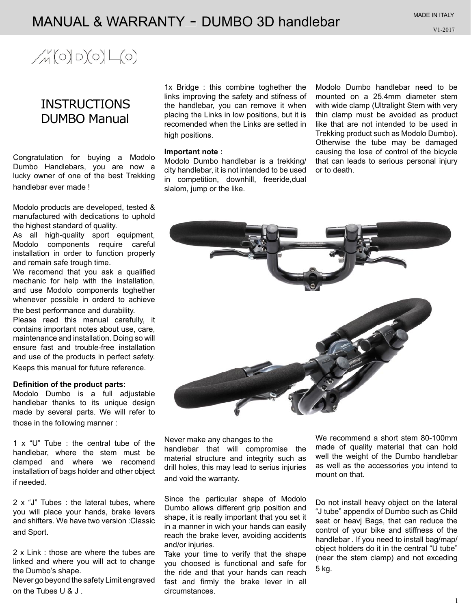## MANUAL & WARRANTY - DUMBO 3D handlebar

# $\mathcal{M}(\circ)\circ(\circ)\mathcal{L}(\circ)$

### **INSTRUCTIONS** DUMBO Manual

Congratulation for buying a Modolo Dumbo Handlebars, you are now a lucky owner of one of the best Trekking handlebar ever made !

Modolo products are developed, tested & manufactured with dedications to uphold the highest standard of quality.

As all high-quality sport equipment, Modolo components require careful installation in order to function properly and remain safe trough time.

We recomend that you ask a qualified mechanic for help with the installation, and use Modolo components toghether whenever possible in orderd to achieve the best performance and durability.

Please read this manual carefully, it contains important notes about use, care, maintenance and installation. Doing so will ensure fast and trouble-free installation and use of the products in perfect safety. Keeps this manual for future reference.

#### **Definition of the product parts:**

Modolo Dumbo is a full adjustable handlebar thanks to its unique design made by several parts. We will refer to those in the following manner :

1 x "U" Tube : the central tube of the handlebar, where the stem must be clamped and where we recomend installation of bags holder and other object if needed.

2 x "J" Tubes : the lateral tubes, where you will place your hands, brake levers and shifters. We have two version :Classic and Sport.

2 x Link : those are where the tubes are linked and where you will act to change the Dumbo's shape.

Never go beyond the safety Limit engraved on the Tubes U & J .

1x Bridge : this combine toghether the links improving the safety and stifness of the handlebar, you can remove it when placing the Links in low positions, but it is recomended when the Links are setted in high positions.

#### **Important note :**

Modolo Dumbo handlebar is a trekking/ city handlebar, it is not intended to be used in competition, downhill, freeride,dual slalom, jump or the like.

Modolo Dumbo handlebar need to be mounted on a 25.4mm diameter stem with wide clamp (Ultralight Stem with very thin clamp must be avoided as product like that are not intended to be used in Trekking product such as Modolo Dumbo). Otherwise the tube may be damaged causing the lose of control of the bicycle that can leads to serious personal injury or to death.



Never make any changes to the handlebar that will compromise the material structure and integrity such as drill holes, this may lead to serius injuries and void the warranty.

Since the particular shape of Modolo Dumbo allows different grip position and shape, it is really important that you set it in a manner in wich your hands can easily reach the brake lever, avoiding accidents and/or injuries.

Take your time to verify that the shape you choosed is functional and safe for the ride and that your hands can reach fast and firmly the brake lever in all circumstances.

We recommend a short stem 80-100mm made of quality material that can hold well the weight of the Dumbo handlebar as well as the accessories you intend to mount on that.

Do not install heavy object on the lateral "J tube" appendix of Dumbo such as Child seat or heavj Bags, that can reduce the control of your bike and stiffness of the handlebar . If you need to install bag/map/ object holders do it in the central "U tube" (near the stem clamp) and not exceding 5 kg.